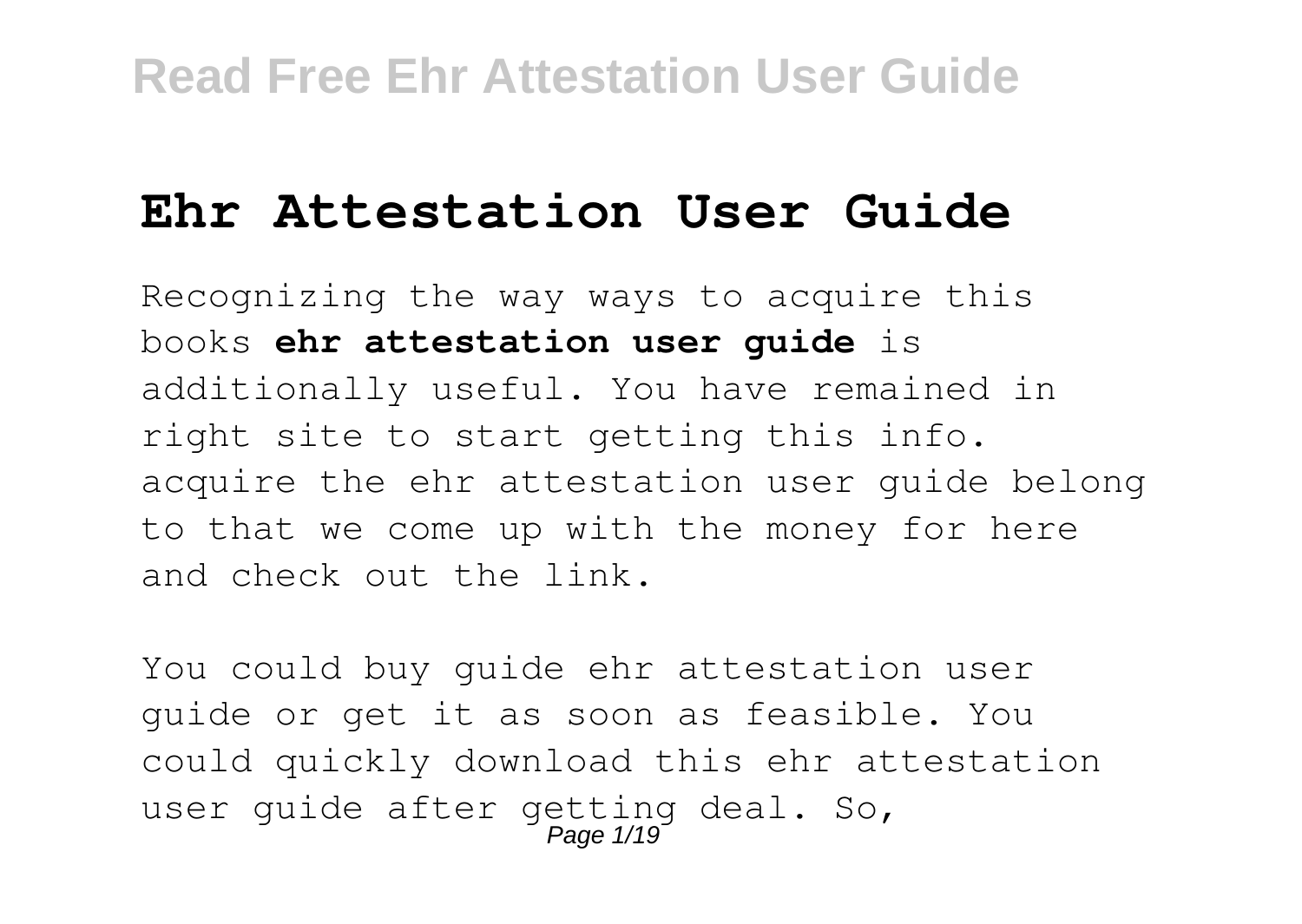# **Ehr Attestation User Guide**

Recognizing the way ways to acquire this books **ehr attestation user guide** is additionally useful. You have remained in right site to start getting this info. acquire the ehr attestation user guide belong to that we come up with the money for here and check out the link.

You could buy guide ehr attestation user guide or get it as soon as feasible. You could quickly download this ehr attestation user guide after getting deal. So, Page 1/19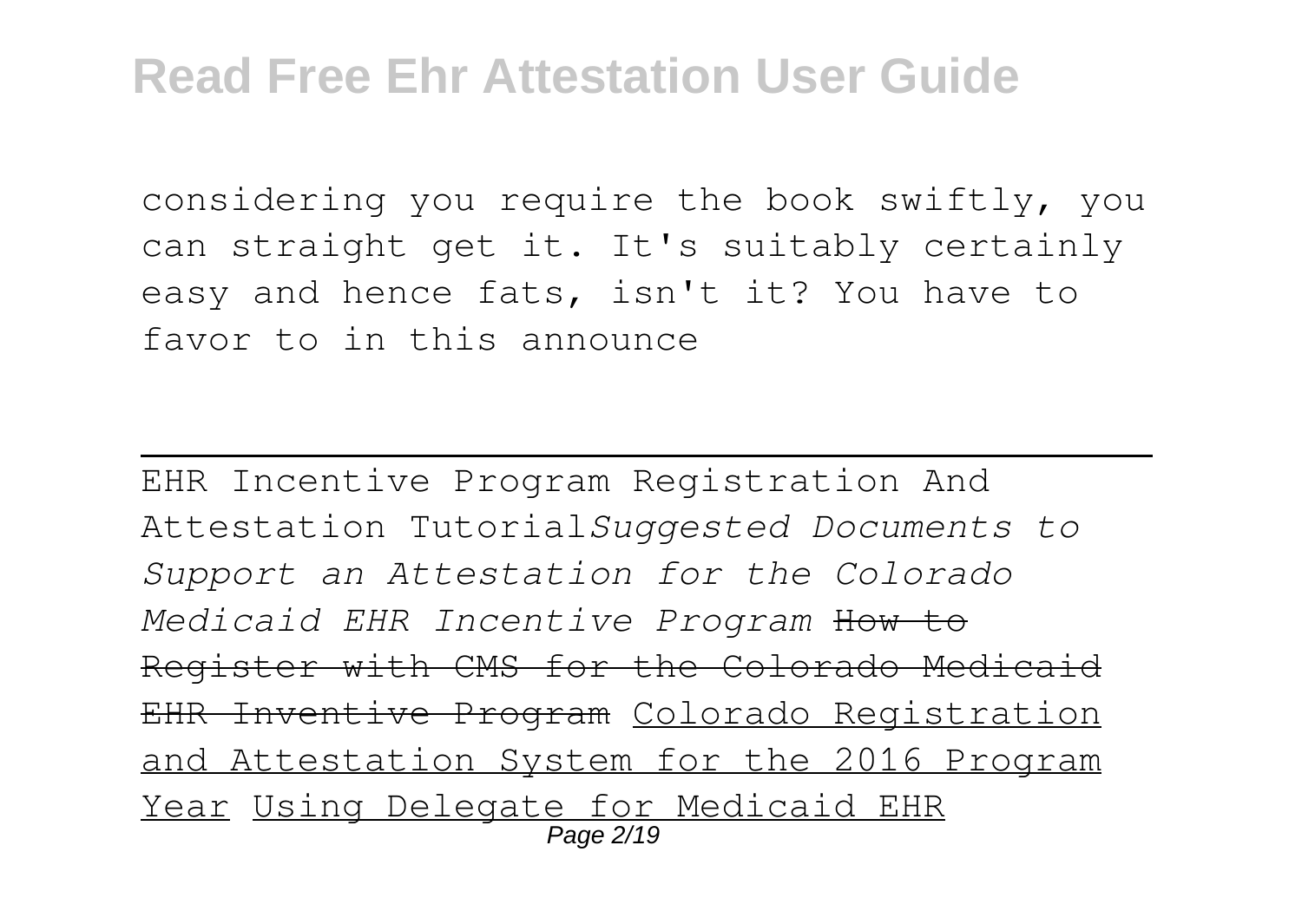considering you require the book swiftly, you can straight get it. It's suitably certainly easy and hence fats, isn't it? You have to favor to in this announce

EHR Incentive Program Registration And Attestation Tutorial*Suggested Documents to Support an Attestation for the Colorado Medicaid EHR Incentive Program* How to Register with CMS for the Colorado Medicaid EHR Inventive Program Colorado Registration and Attestation System for the 2016 Program Year Using Delegate for Medicaid EHR Page 2/19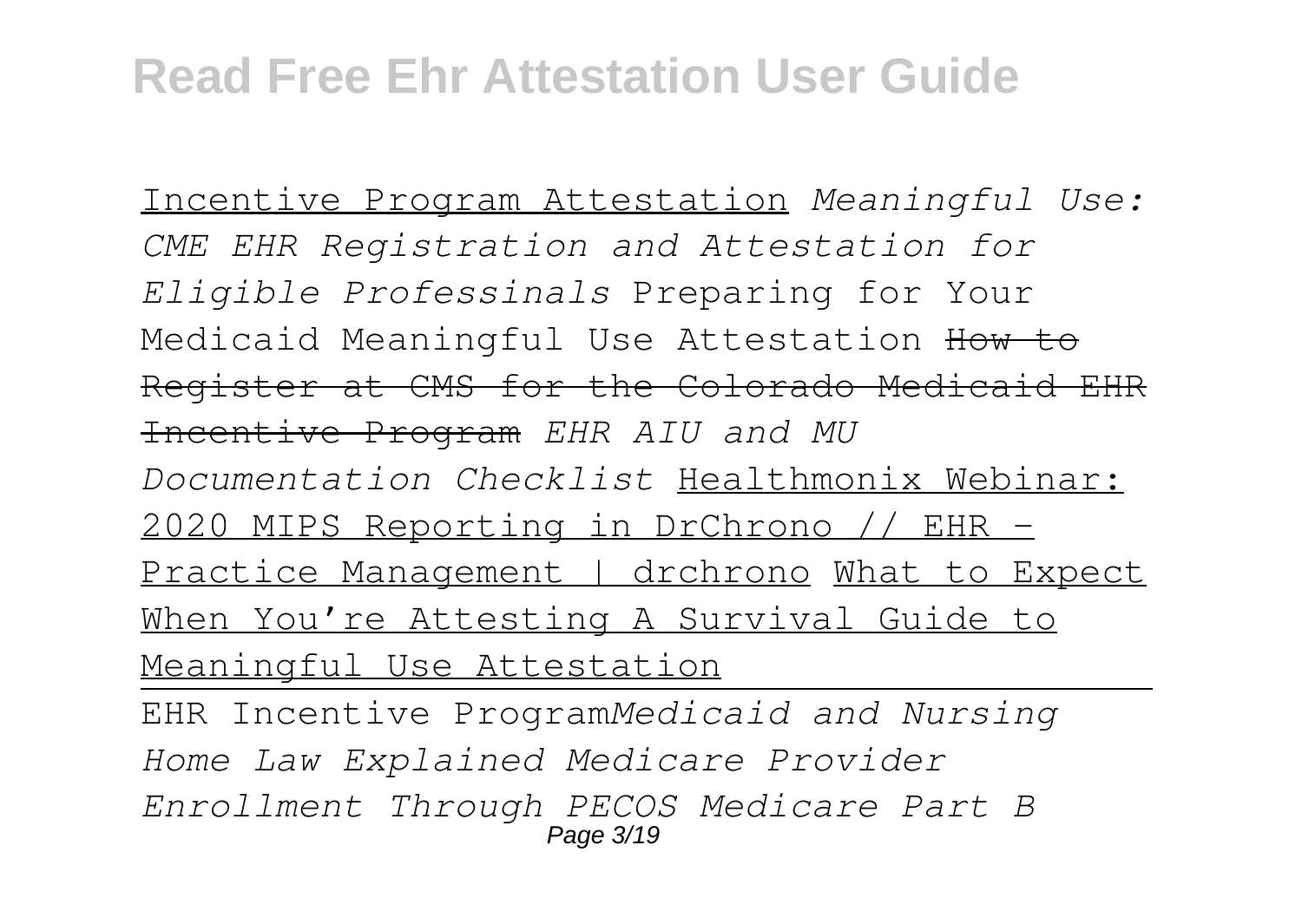Incentive Program Attestation *Meaningful Use: CME EHR Registration and Attestation for Eligible Professinals* Preparing for Your Medicaid Meaningful Use Attestation How to Register at CMS for the Colorado Medicaid EHR Incentive Program *EHR AIU and MU Documentation Checklist* Healthmonix Webinar: 2020 MIPS Reporting in DrChrono // EHR - Practice Management | drchrono What to Expect When You're Attesting A Survival Guide to Meaningful Use Attestation EHR Incentive Program*Medicaid and Nursing Home Law Explained Medicare Provider Enrollment Through PECOS Medicare Part B*

Page 3/19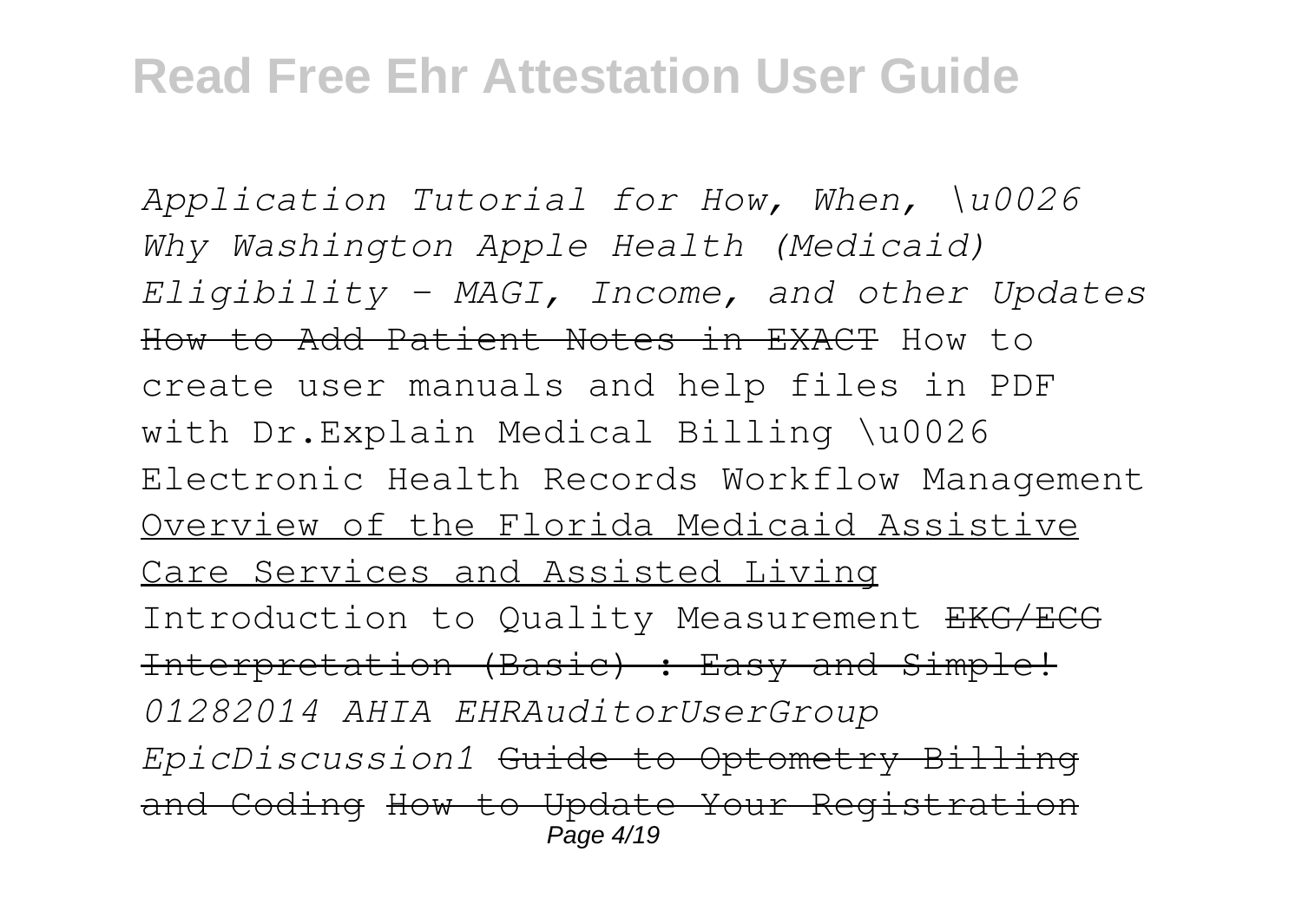*Application Tutorial for How, When, \u0026 Why Washington Apple Health (Medicaid) Eligibility – MAGI, Income, and other Updates* How to Add Patient Notes in EXACT How to create user manuals and help files in PDF with Dr.Explain Medical Billing \u0026 Electronic Health Records Workflow Management Overview of the Florida Medicaid Assistive Care Services and Assisted Living Introduction to Quality Measurement EKG/ECG Interpretation (Basic) : Easy and Simple! *01282014 AHIA EHRAuditorUserGroup EpicDiscussion1* Guide to Optometry Billing and Coding How to Update Your Registration Page 4/19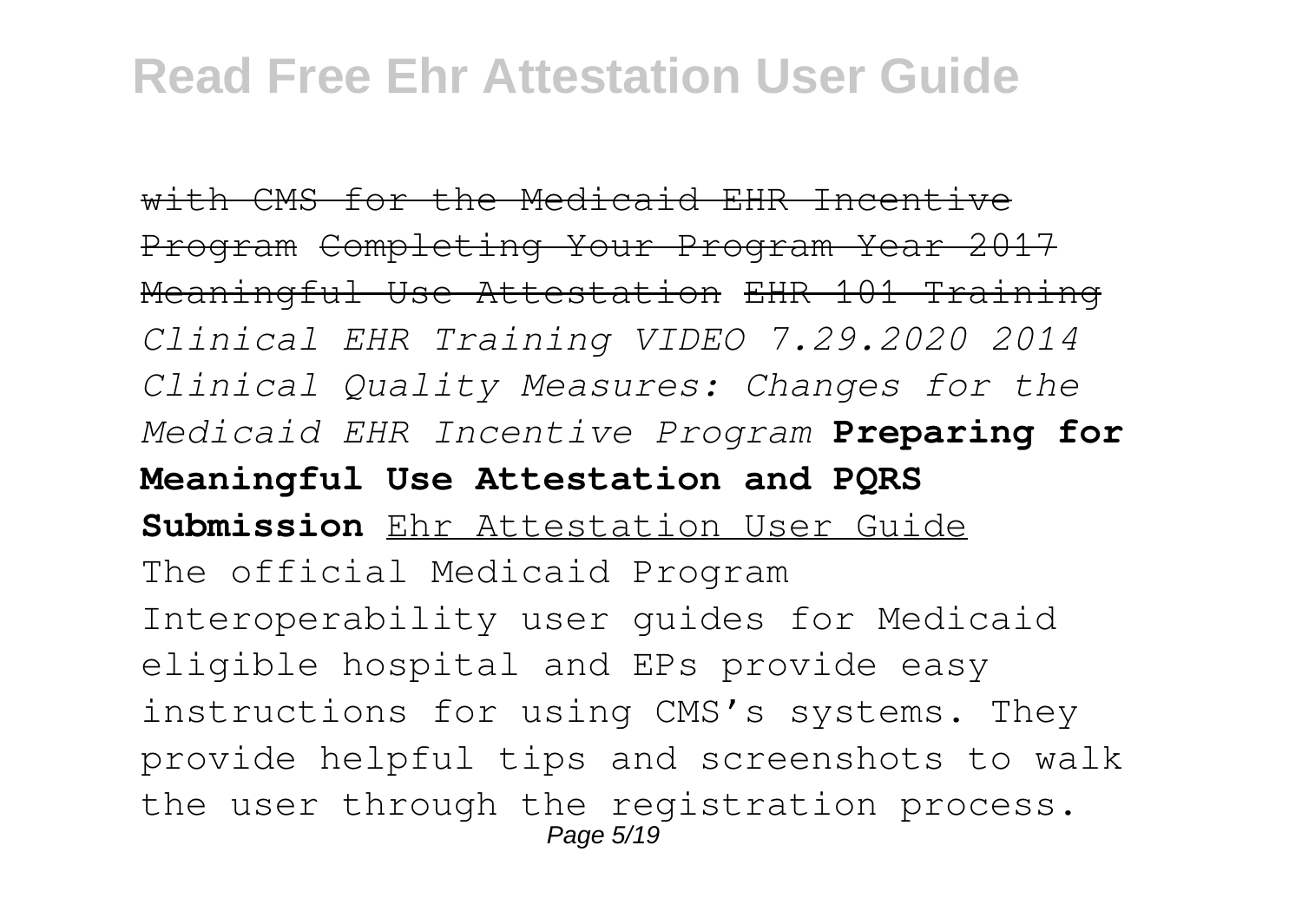with CMS for the Medicaid EHR Incentive Program Completing Your Program Year 2017 Meaningful Use Attestation EHR 101 Training *Clinical EHR Training VIDEO 7.29.2020 2014 Clinical Quality Measures: Changes for the Medicaid EHR Incentive Program* **Preparing for Meaningful Use Attestation and PQRS Submission** Ehr Attestation User Guide The official Medicaid Program Interoperability user guides for Medicaid eligible hospital and EPs provide easy instructions for using CMS's systems. They provide helpful tips and screenshots to walk the user through the registration process. Page 5/19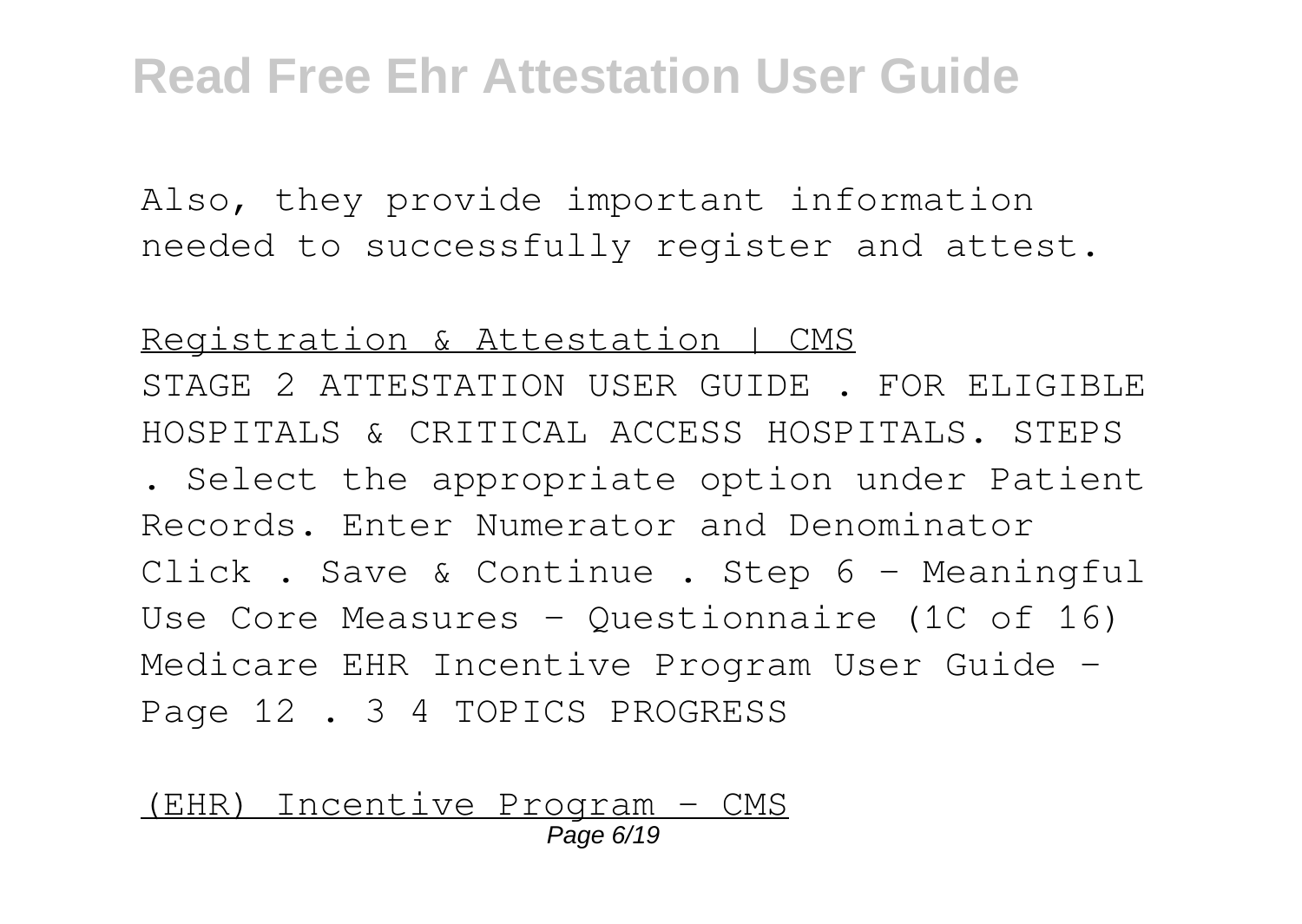Also, they provide important information needed to successfully register and attest.

Registration & Attestation | CMS STAGE 2 ATTESTATION USER GUIDE . FOR ELIGIBLE HOSPITALS & CRITICAL ACCESS HOSPITALS. STEPS . Select the appropriate option under Patient Records. Enter Numerator and Denominator Click . Save & Continue . Step 6 – Meaningful Use Core Measures – Questionnaire (1C of 16) Medicare EHR Incentive Program User Guide – Page 12 . 3 4 TOPICS PROGRESS

(EHR) Incentive Program - CMS Page 6/19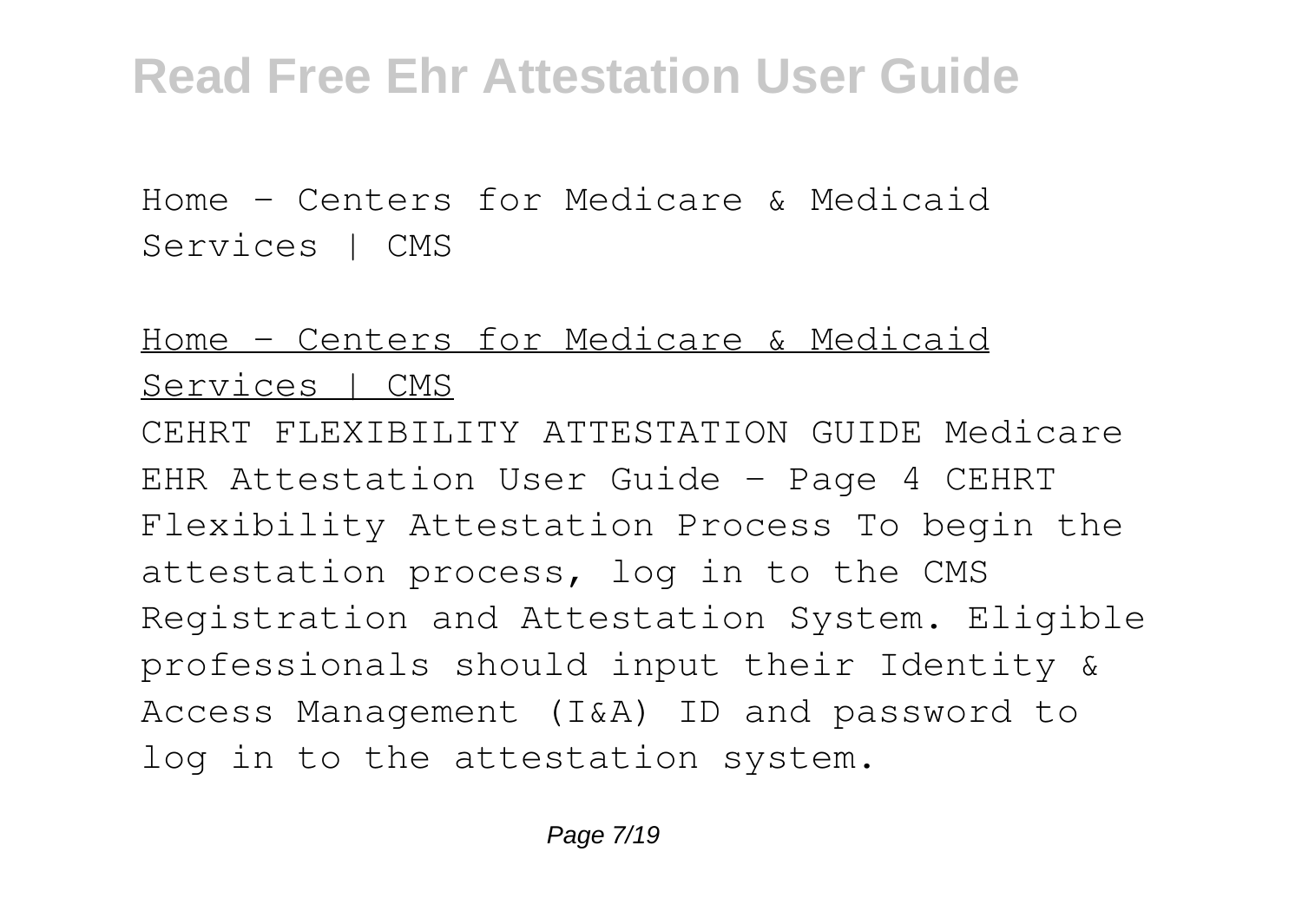Home - Centers for Medicare & Medicaid Services | CMS

#### Home - Centers for Medicare & Medicaid Services | CMS

CEHRT FLEXIBILITY ATTESTATION GUIDE Medicare EHR Attestation User Guide – Page 4 CEHRT Flexibility Attestation Process To begin the attestation process, log in to the CMS Registration and Attestation System. Eligible professionals should input their Identity & Access Management (I&A) ID and password to log in to the attestation system.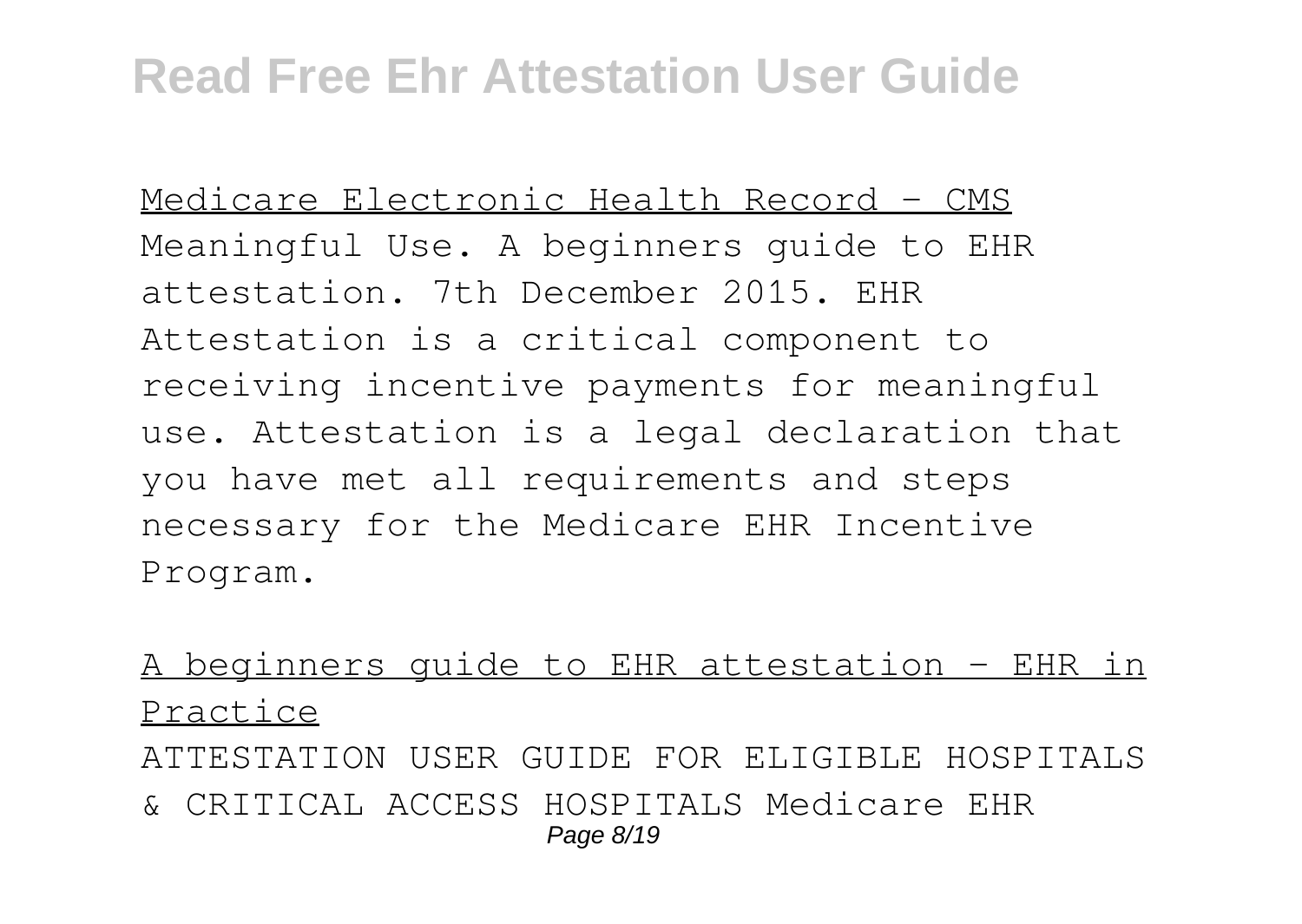Medicare Electronic Health Record - CMS Meaningful Use. A beginners guide to EHR attestation. 7th December 2015. EHR Attestation is a critical component to receiving incentive payments for meaningful use. Attestation is a legal declaration that you have met all requirements and steps necessary for the Medicare EHR Incentive Program.

#### A beginners guide to EHR attestation - EHR in Practice

ATTESTATION USER GUIDE FOR ELIGIBLE HOSPITALS & CRITICAL ACCESS HOSPITALS Medicare EHR Page 8/19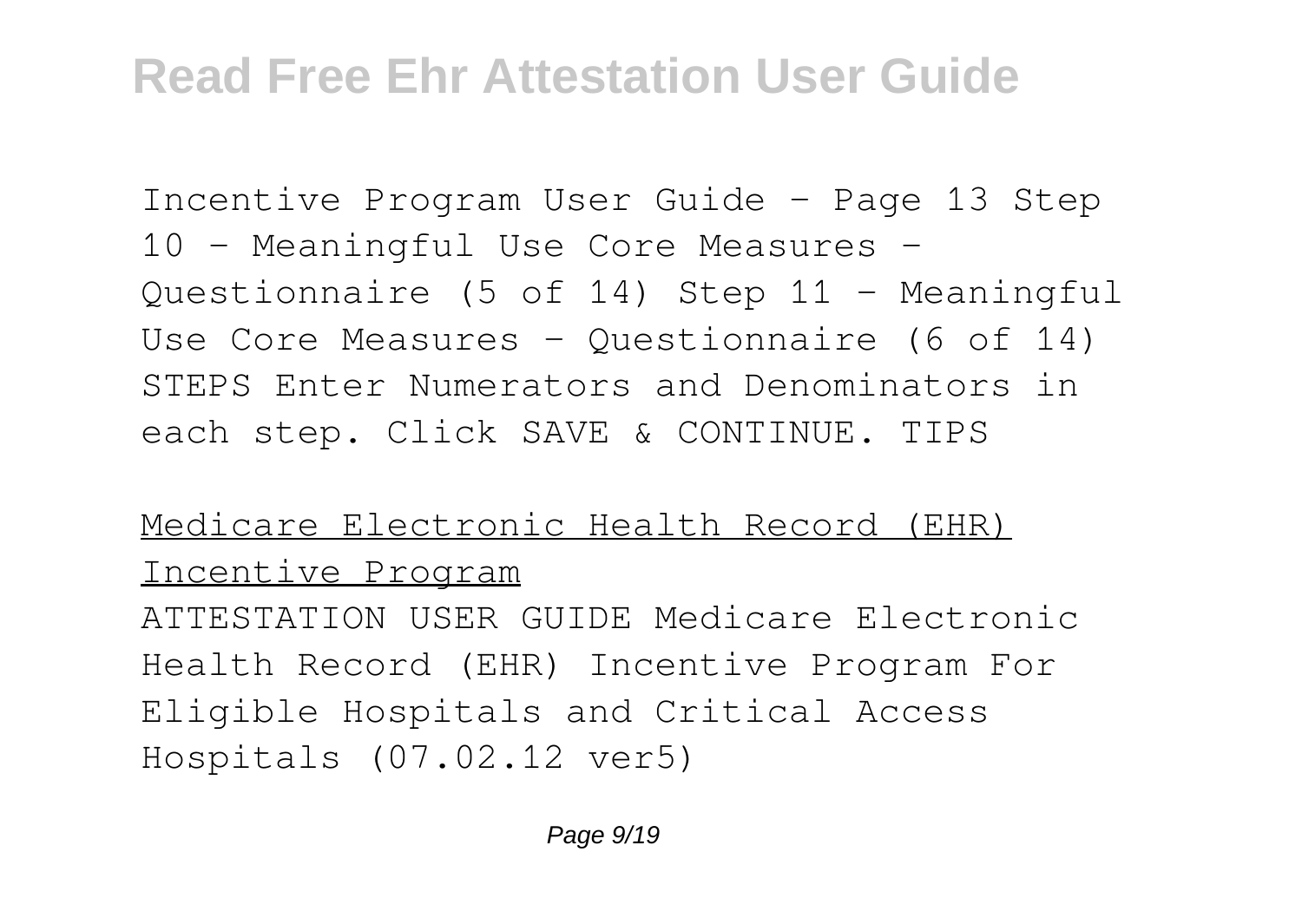Incentive Program User Guide – Page 13 Step 10 – Meaningful Use Core Measures – Questionnaire (5 of 14) Step 11 – Meaningful Use Core Measures – Questionnaire (6 of 14) STEPS Enter Numerators and Denominators in each step. Click SAVE & CONTINUE. TIPS

#### Medicare Electronic Health Record (EHR) Incentive Program

ATTESTATION USER GUIDE Medicare Electronic Health Record (EHR) Incentive Program For Eligible Hospitals and Critical Access Hospitals (07.02.12 ver5)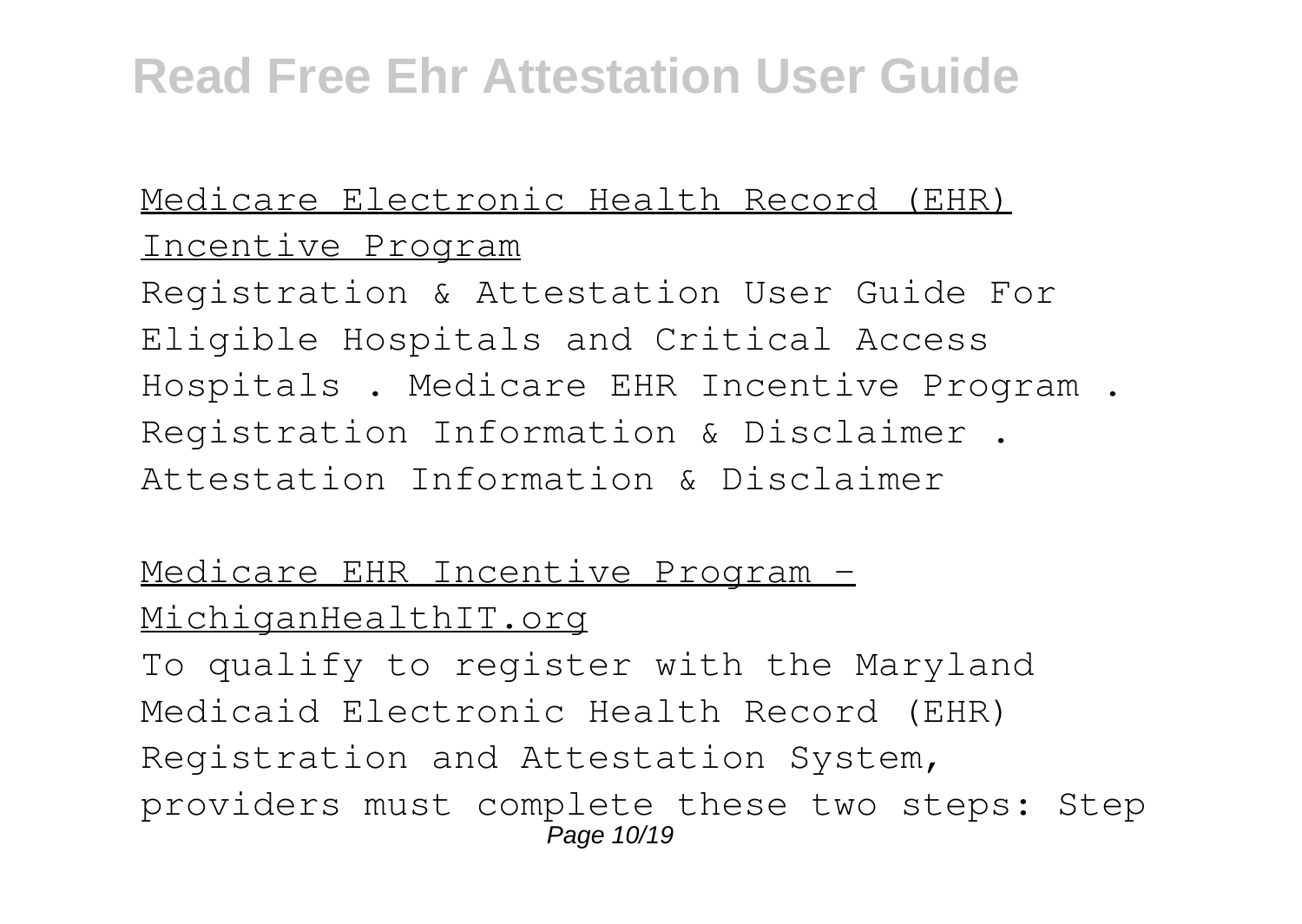#### Medicare Electronic Health Record (EHR) Incentive Program

Registration & Attestation User Guide For Eligible Hospitals and Critical Access Hospitals . Medicare EHR Incentive Program . Registration Information & Disclaimer . Attestation Information & Disclaimer

#### Medicare EHR Incentive Program -MichiganHealthIT.org

To qualify to register with the Maryland Medicaid Electronic Health Record (EHR) Registration and Attestation System, providers must complete these two steps: Step Page 10/19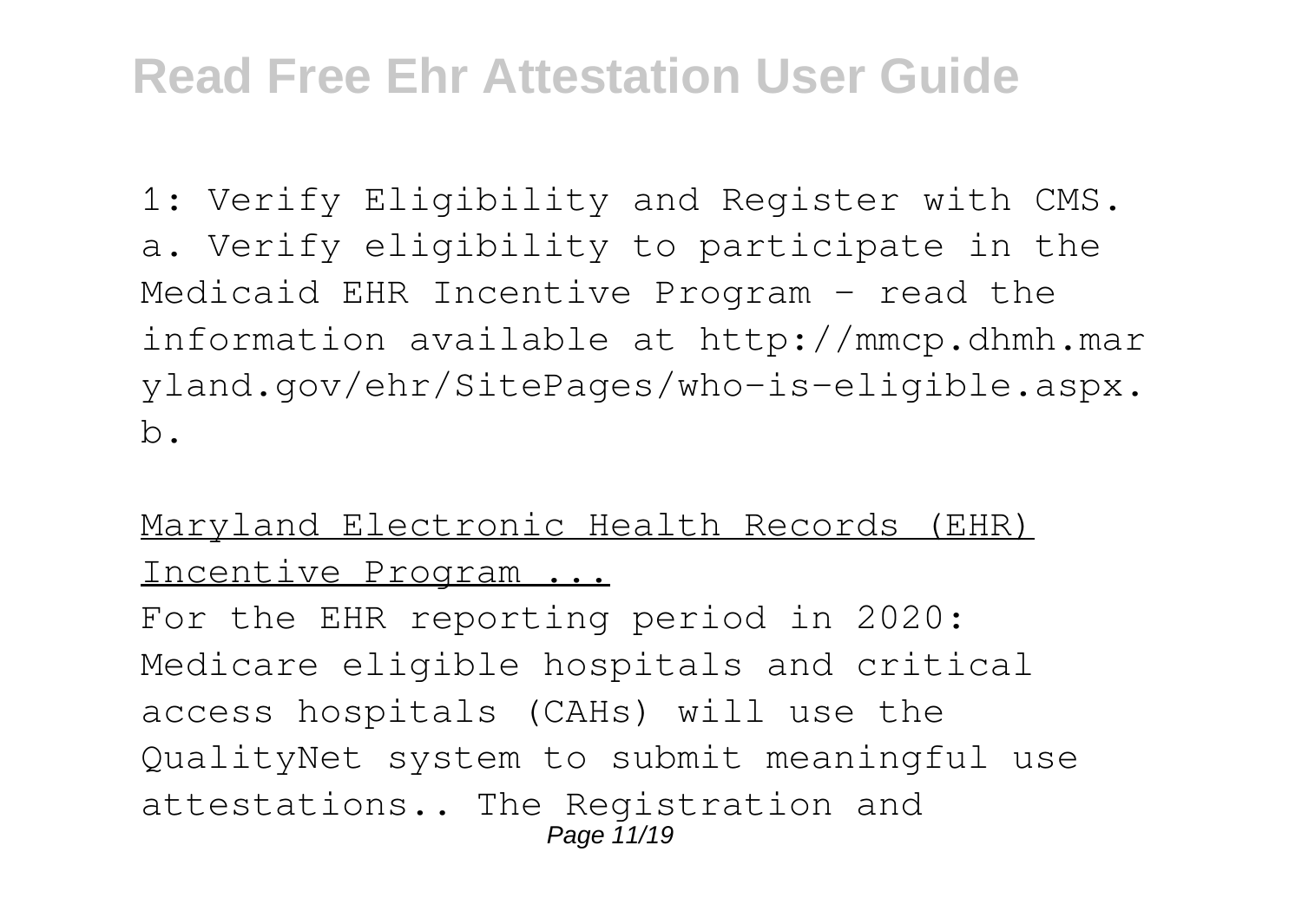1: Verify Eligibility and Register with CMS. a. Verify eligibility to participate in the Medicaid EHR Incentive Program – read the information available at http://mmcp.dhmh.mar yland.gov/ehr/SitePages/who-is-eligible.aspx. b.

#### Maryland Electronic Health Records (EHR) Incentive Program ...

For the EHR reporting period in 2020: Medicare eligible hospitals and critical access hospitals (CAHs) will use the QualityNet system to submit meaningful use attestations.. The Registration and Page 11/19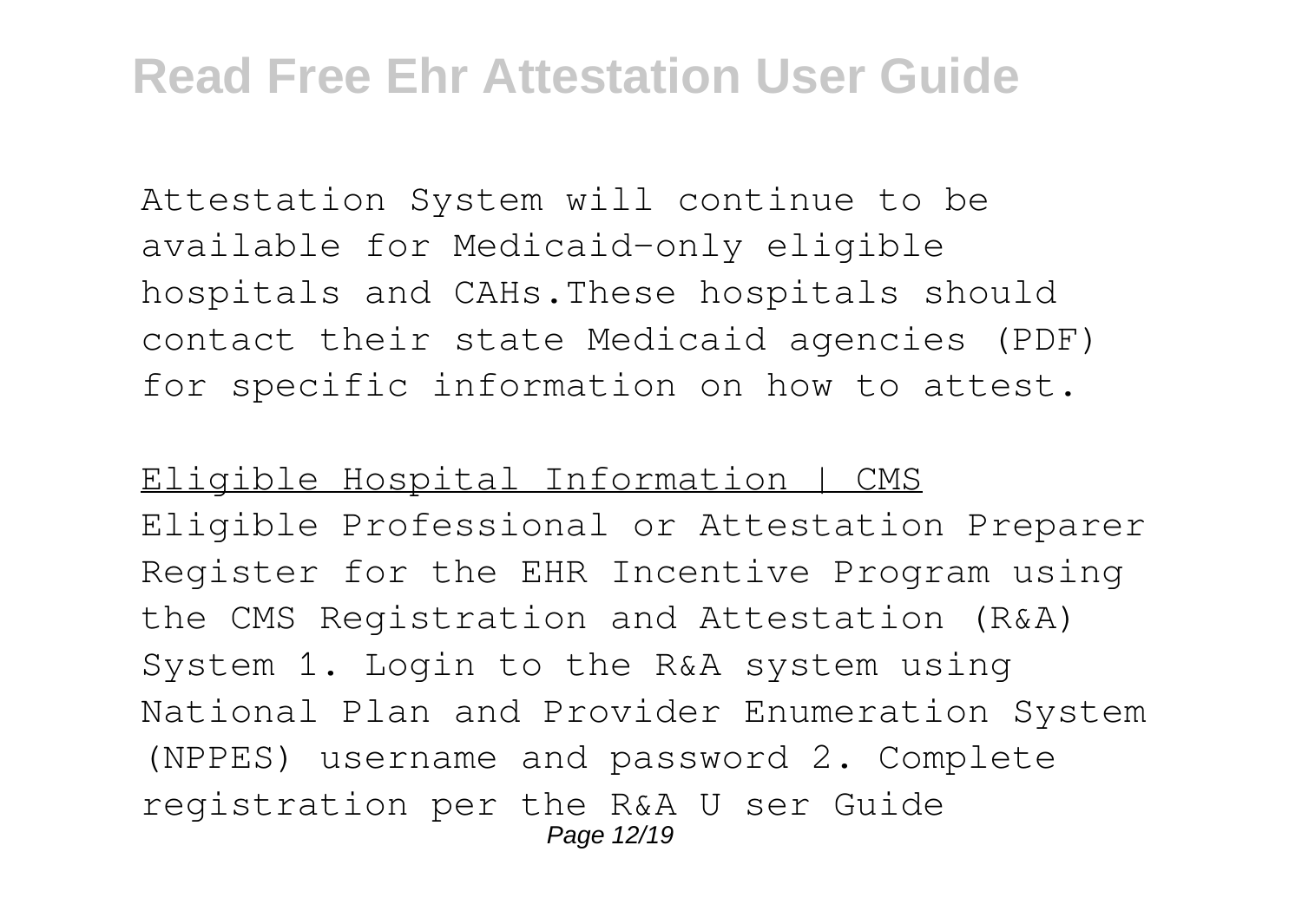Attestation System will continue to be available for Medicaid-only eligible hospitals and CAHs.These hospitals should contact their state Medicaid agencies (PDF) for specific information on how to attest.

Eligible Hospital Information | CMS Eligible Professional or Attestation Preparer Register for the EHR Incentive Program using the CMS Registration and Attestation (R&A) System 1. Login to the R&A system using National Plan and Provider Enumeration System (NPPES) username and password 2. Complete registration per the R&A U ser Guide Page 12/19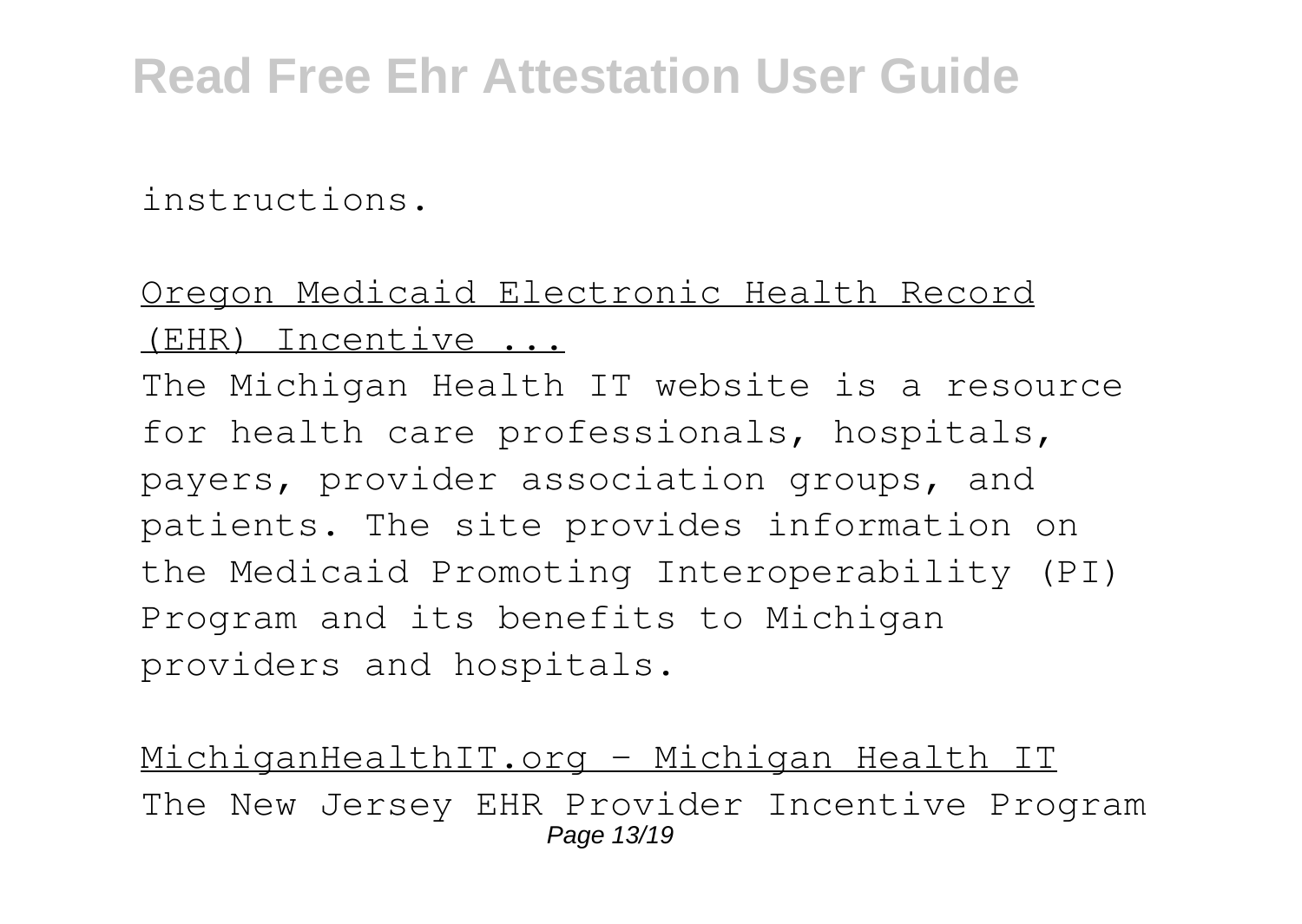instructions.

#### Oregon Medicaid Electronic Health Record (EHR) Incentive ...

The Michigan Health IT website is a resource for health care professionals, hospitals, payers, provider association groups, and patients. The site provides information on the Medicaid Promoting Interoperability (PI) Program and its benefits to Michigan providers and hospitals.

MichiganHealthIT.org – Michigan Health IT The New Jersey EHR Provider Incentive Program Page 13/19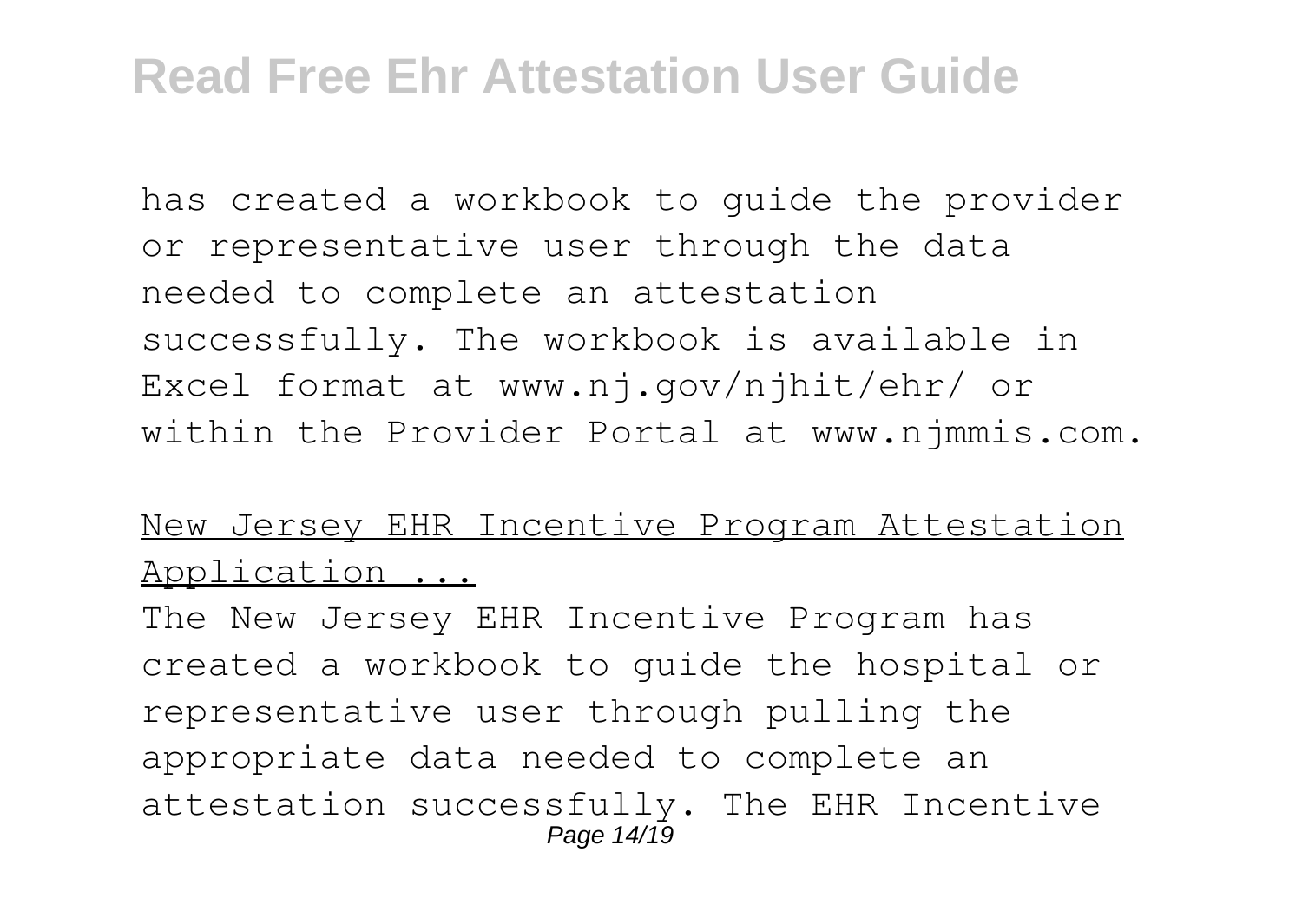has created a workbook to guide the provider or representative user through the data needed to complete an attestation successfully. The workbook is available in Excel format at www.nj.gov/njhit/ehr/ or within the Provider Portal at www.njmmis.com.

#### New Jersey EHR Incentive Program Attestation Application ...

The New Jersey EHR Incentive Program has created a workbook to guide the hospital or representative user through pulling the appropriate data needed to complete an attestation successfully. The EHR Incentive Page 14/19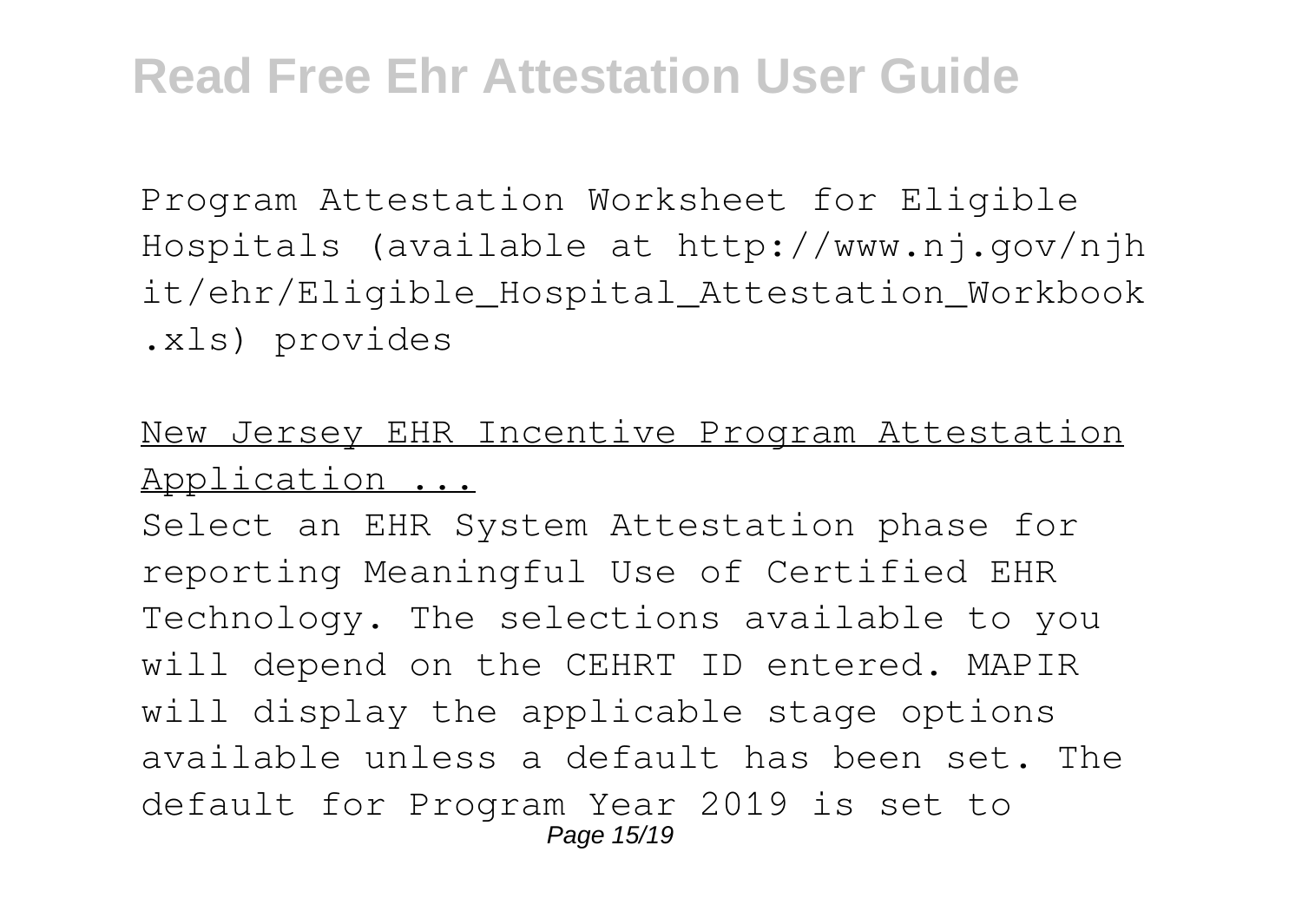Program Attestation Worksheet for Eligible Hospitals (available at http://www.nj.gov/njh it/ehr/Eligible\_Hospital\_Attestation\_Workbook .xls) provides

#### New Jersey EHR Incentive Program Attestation Application ...

Select an EHR System Attestation phase for reporting Meaningful Use of Certified EHR Technology. The selections available to you will depend on the CEHRT ID entered. MAPIR will display the applicable stage options available unless a default has been set. The default for Program Year 2019 is set to Page 15/19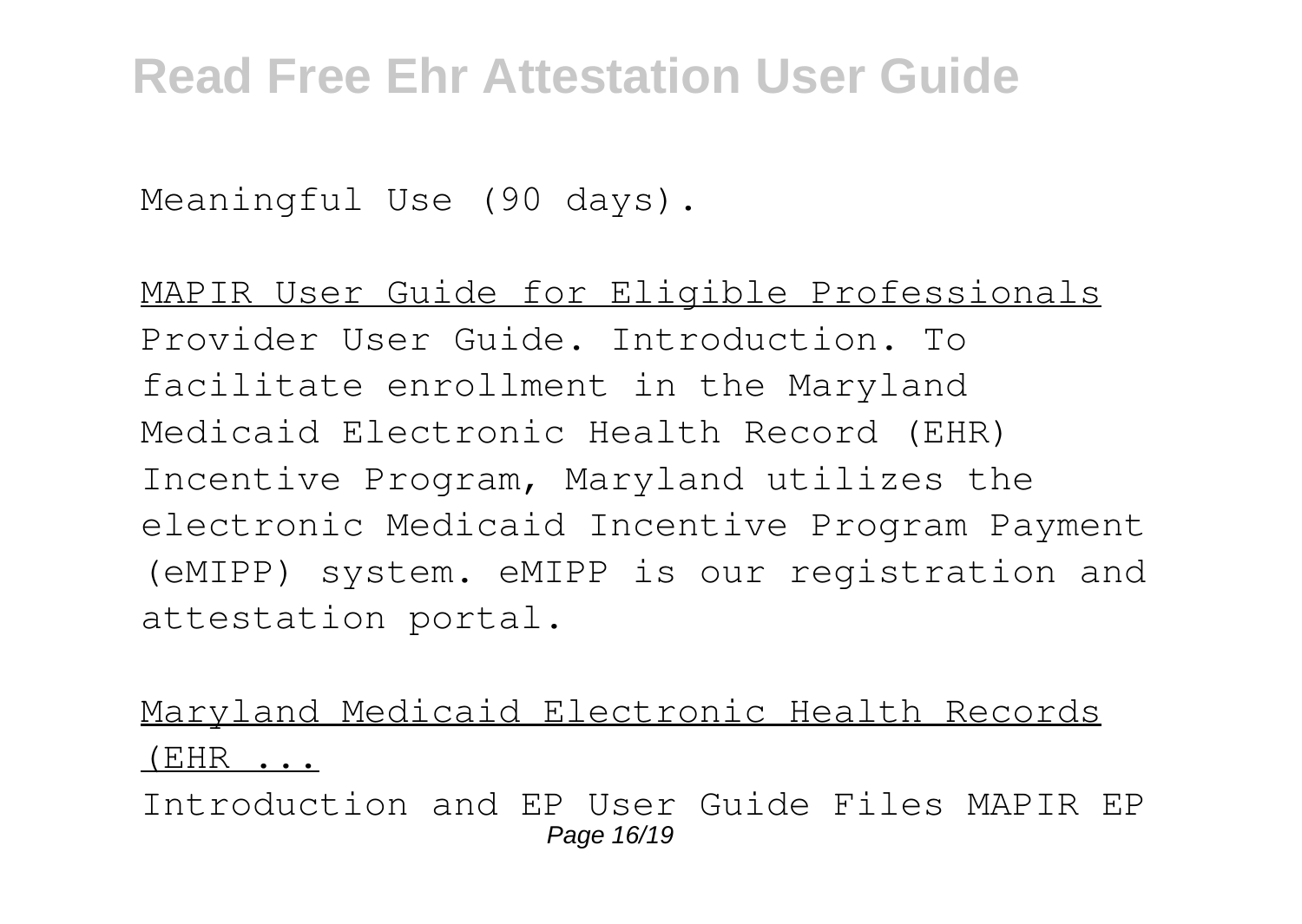Meaningful Use (90 days).

MAPIR User Guide for Eligible Professionals Provider User Guide. Introduction. To facilitate enrollment in the Maryland Medicaid Electronic Health Record (EHR) Incentive Program, Maryland utilizes the electronic Medicaid Incentive Program Payment (eMIPP) system. eMIPP is our registration and attestation portal.

Maryland Medicaid Electronic Health Records (EHR ...

Introduction and EP User Guide Files MAPIR EP Page 16/19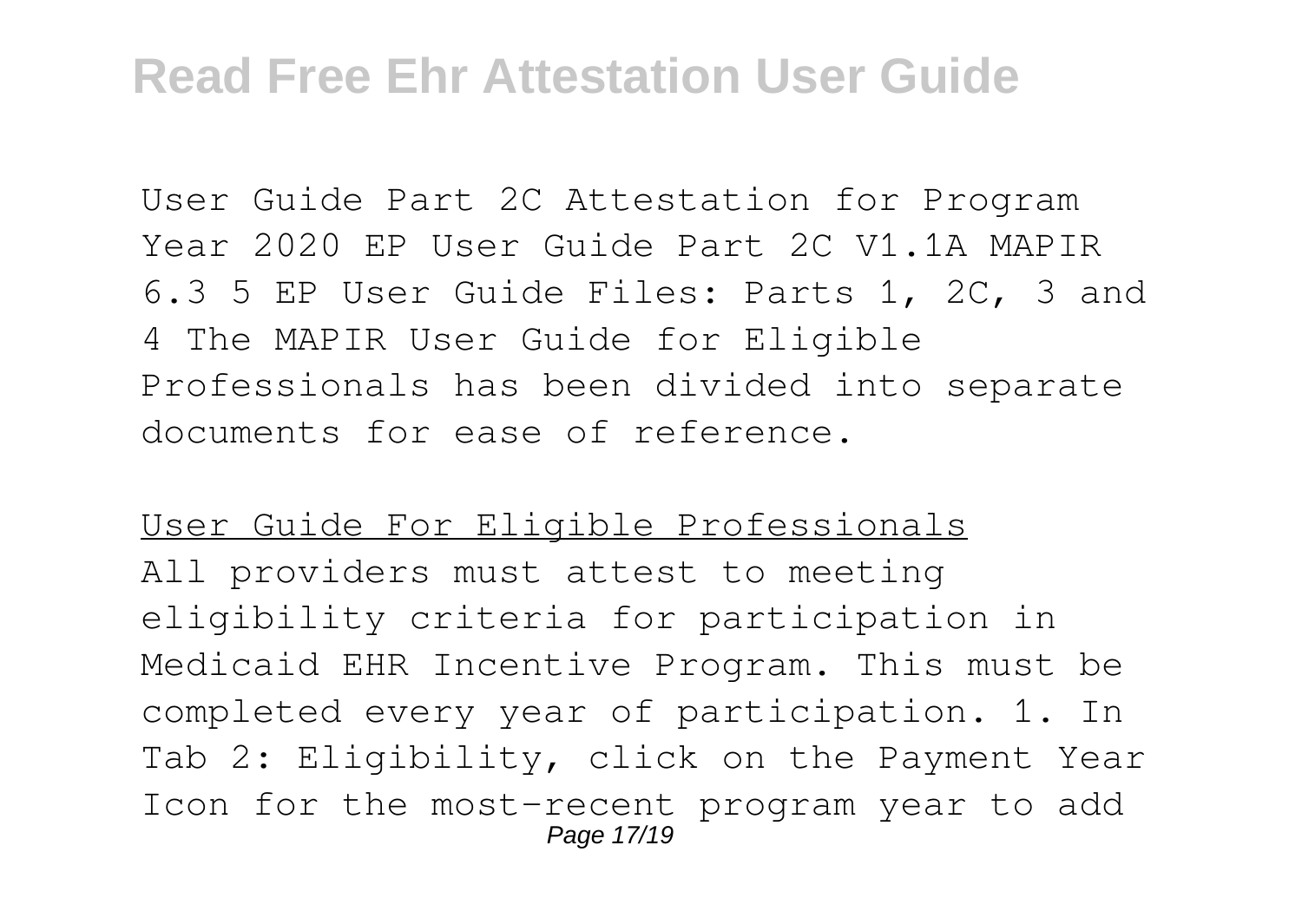User Guide Part 2C Attestation for Program Year 2020 EP User Guide Part 2C V1.1A MAPIR 6.3 5 EP User Guide Files: Parts 1, 2C, 3 and 4 The MAPIR User Guide for Eligible Professionals has been divided into separate documents for ease of reference.

#### User Guide For Eligible Professionals

All providers must attest to meeting eligibility criteria for participation in Medicaid EHR Incentive Program. This must be completed every year of participation. 1. In Tab 2: Eligibility, click on the Payment Year Icon for the most-recent program year to add Page 17/19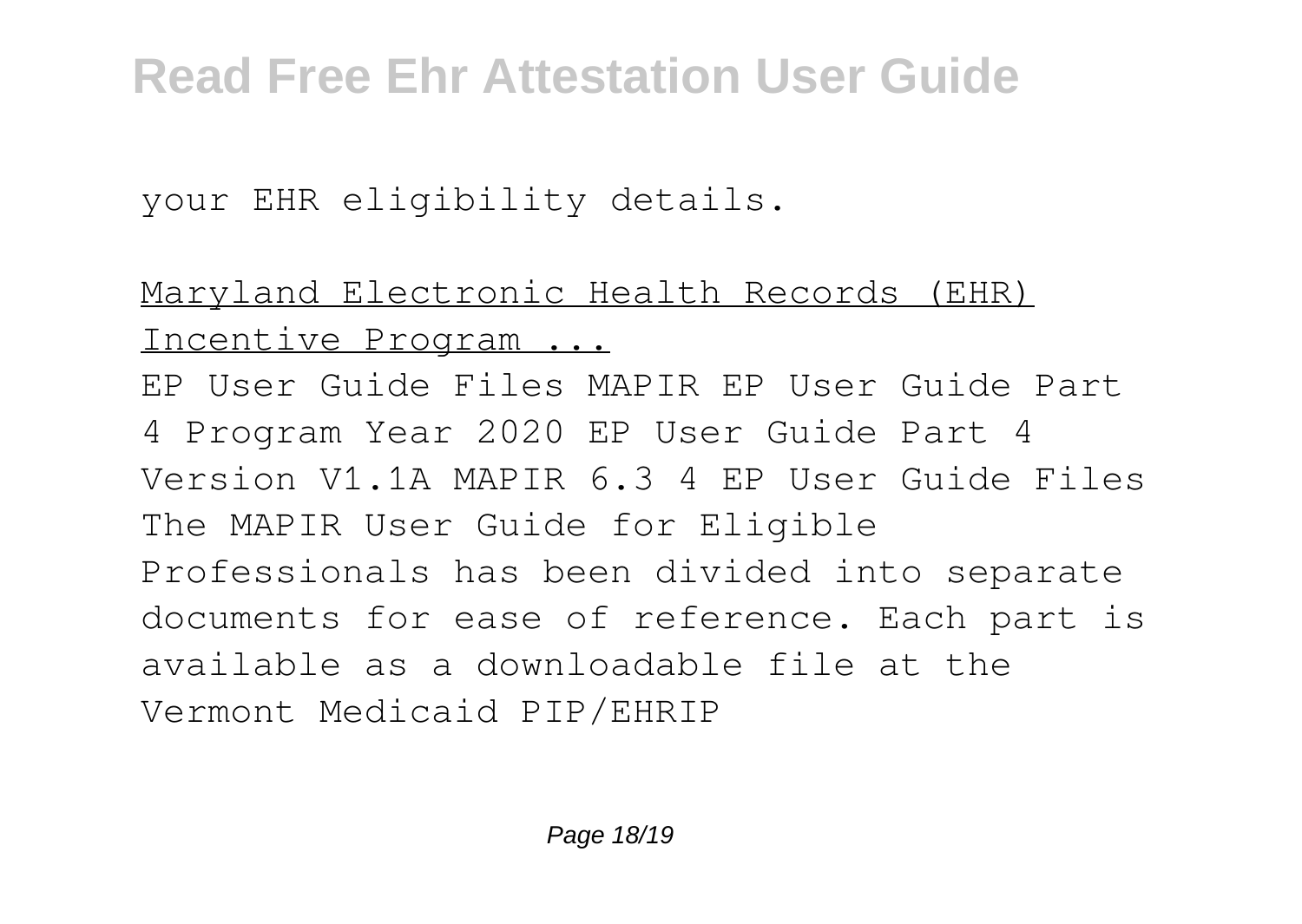your EHR eligibility details.

Maryland Electronic Health Records (EHR) Incentive Program ...

EP User Guide Files MAPIR EP User Guide Part 4 Program Year 2020 EP User Guide Part 4 Version V1.1A MAPIR 6.3 4 EP User Guide Files The MAPIR User Guide for Eligible Professionals has been divided into separate documents for ease of reference. Each part is available as a downloadable file at the Vermont Medicaid PIP/EHRIP